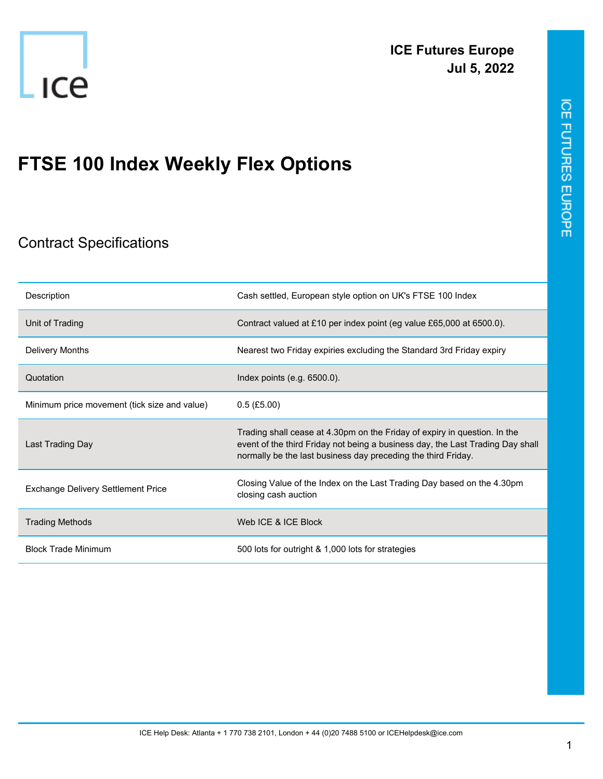

## **FTSE 100 Index Weekly Flex Options**

## Contract Specifications

| Description                                  | Cash settled, European style option on UK's FTSE 100 Index                                                                                                                                                                   |
|----------------------------------------------|------------------------------------------------------------------------------------------------------------------------------------------------------------------------------------------------------------------------------|
| Unit of Trading                              | Contract valued at £10 per index point (eg value £65,000 at 6500.0).                                                                                                                                                         |
| Delivery Months                              | Nearest two Friday expiries excluding the Standard 3rd Friday expiry                                                                                                                                                         |
| Quotation                                    | Index points $(e.g. 6500.0)$ .                                                                                                                                                                                               |
| Minimum price movement (tick size and value) | $0.5$ (£5.00)                                                                                                                                                                                                                |
| Last Trading Day                             | Trading shall cease at 4.30pm on the Friday of expiry in question. In the<br>event of the third Friday not being a business day, the Last Trading Day shall<br>normally be the last business day preceding the third Friday. |
| <b>Exchange Delivery Settlement Price</b>    | Closing Value of the Index on the Last Trading Day based on the 4.30pm<br>closing cash auction                                                                                                                               |
| <b>Trading Methods</b>                       | Web ICE & ICE Block                                                                                                                                                                                                          |
| <b>Block Trade Minimum</b>                   | 500 lots for outright & 1,000 lots for strategies                                                                                                                                                                            |